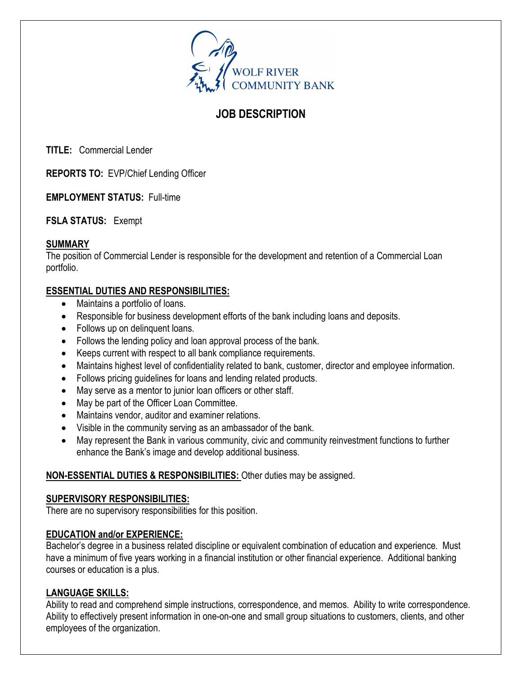

# **JOB DESCRIPTION**

**TITLE:** Commercial Lender

**REPORTS TO:** EVP/Chief Lending Officer

**EMPLOYMENT STATUS:** Full-time

**FSLA STATUS:** Exempt

## **SUMMARY**

The position of Commercial Lender is responsible for the development and retention of a Commercial Loan portfolio.

# **ESSENTIAL DUTIES AND RESPONSIBILITIES:**

- Maintains a portfolio of loans.
- Responsible for business development efforts of the bank including loans and deposits.
- Follows up on delinquent loans.
- Follows the lending policy and loan approval process of the bank.
- Keeps current with respect to all bank compliance requirements.
- Maintains highest level of confidentiality related to bank, customer, director and employee information.
- Follows pricing guidelines for loans and lending related products.
- May serve as a mentor to junior loan officers or other staff.
- May be part of the Officer Loan Committee.
- Maintains vendor, auditor and examiner relations.
- Visible in the community serving as an ambassador of the bank.
- May represent the Bank in various community, civic and community reinvestment functions to further enhance the Bank's image and develop additional business.

# **NON-ESSENTIAL DUTIES & RESPONSIBILITIES:** Other duties may be assigned.

## **SUPERVISORY RESPONSIBILITIES:**

There are no supervisory responsibilities for this position.

# **EDUCATION and/or EXPERIENCE:**

Bachelor's degree in a business related discipline or equivalent combination of education and experience. Must have a minimum of five years working in a financial institution or other financial experience. Additional banking courses or education is a plus.

# **LANGUAGE SKILLS:**

Ability to read and comprehend simple instructions, correspondence, and memos. Ability to write correspondence. Ability to effectively present information in one-on-one and small group situations to customers, clients, and other employees of the organization.